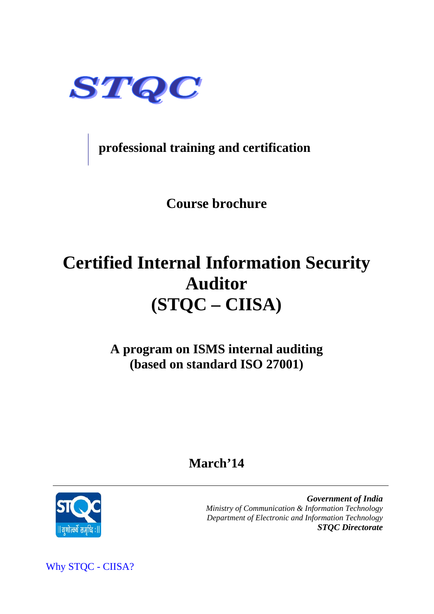

**professional training and certification** 

**Course brochure** 

# **Certified Internal Information Security Auditor (STQC – CIISA)**

**A program on ISMS internal auditing (based on standard ISO 27001)**

## **March'14**



 *Government of India Ministry of Communication & Information Technology Department of Electronic and Information Technology STQC Directorate* 

Why STQC - CIISA?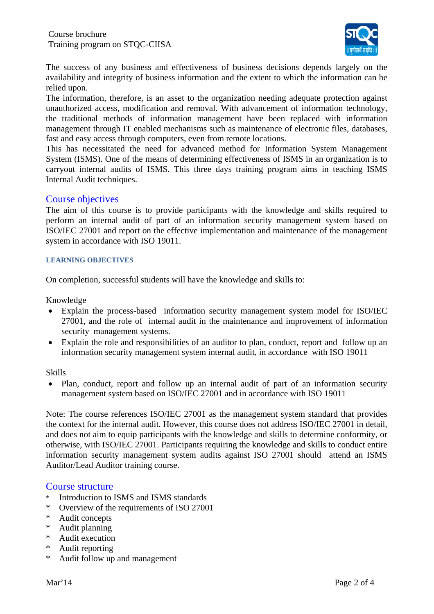

The success of any business and effectiveness of business decisions depends largely on the availability and integrity of business information and the extent to which the information can be relied upon.

The information, therefore, is an asset to the organization needing adequate protection against unauthorized access, modification and removal. With advancement of information technology, the traditional methods of information management have been replaced with information management through IT enabled mechanisms such as maintenance of electronic files, databases, fast and easy access through computers, even from remote locations.

This has necessitated the need for advanced method for Information System Management System (ISMS). One of the means of determining effectiveness of ISMS in an organization is to carryout internal audits of ISMS. This three days training program aims in teaching ISMS Internal Audit techniques.

#### Course objectives

The aim of this course is to provide participants with the knowledge and skills required to perform an internal audit of part of an information security management system based on ISO/IEC 27001 and report on the effective implementation and maintenance of the management system in accordance with ISO 19011.

#### **LEARNING OBJECTIVES**

On completion, successful students will have the knowledge and skills to:

Knowledge

- Explain the process-based information security management system model for ISO/IEC 27001, and the role of internal audit in the maintenance and improvement of information security management systems.
- Explain the role and responsibilities of an auditor to plan, conduct, report and follow up an information security management system internal audit, in accordance with ISO 19011

#### Skills

 Plan, conduct, report and follow up an internal audit of part of an information security management system based on ISO/IEC 27001 and in accordance with ISO 19011

Note: The course references ISO/IEC 27001 as the management system standard that provides the context for the internal audit. However, this course does not address ISO/IEC 27001 in detail, and does not aim to equip participants with the knowledge and skills to determine conformity, or otherwise, with ISO/IEC 27001. Participants requiring the knowledge and skills to conduct entire information security management system audits against ISO 27001 should attend an ISMS Auditor/Lead Auditor training course.

#### Course structure

- \* Introduction to ISMS and ISMS standards
- \* Overview of the requirements of ISO 27001
- \* Audit concepts
- \* Audit planning
- \* Audit execution
- \* Audit reporting
- \* Audit follow up and management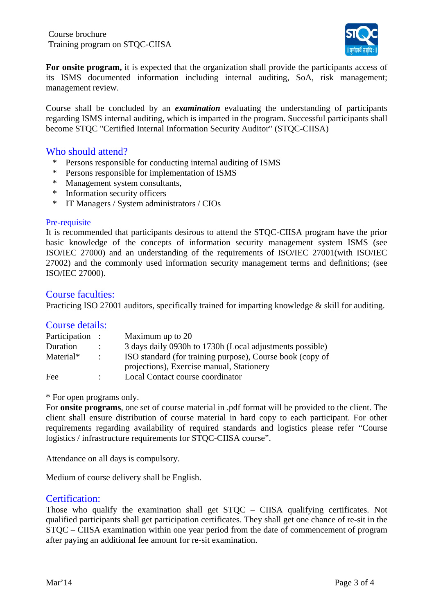Training program on STQC-CIISA Course brochure



**For onsite program,** it is expected that the organization shall provide the participants access of its ISMS documented information including internal auditing, SoA, risk management; management review.

Course shall be concluded by an *examination* evaluating the understanding of participants regarding ISMS internal auditing, which is imparted in the program. Successful participants shall become STQC "Certified Internal Information Security Auditor" (STQC-CIISA)

#### Who should attend?

- \* Persons responsible for conducting internal auditing of ISMS
- \* Persons responsible for implementation of ISMS
- \* Management system consultants,
- \* Information security officers
- \* IT Managers / System administrators / CIOs

#### Pre-requisite

It is recommended that participants desirous to attend the STQC-CIISA program have the prior basic knowledge of the concepts of information security management system ISMS (see ISO/IEC 27000) and an understanding of the requirements of ISO/IEC 27001(with ISO/IEC 27002) and the commonly used information security management terms and definitions; (see ISO/IEC 27000).

#### Course faculties:

Practicing ISO 27001 auditors, specifically trained for imparting knowledge & skill for auditing.

#### Course details:

| Participation : |                      | Maximum up to 20                                          |
|-----------------|----------------------|-----------------------------------------------------------|
| Duration        | $\cdot$              | 3 days daily 0930h to 1730h (Local adjustments possible)  |
| Material*       | $\ddot{\phantom{a}}$ | ISO standard (for training purpose), Course book (copy of |
|                 |                      | projections), Exercise manual, Stationery                 |
| Fee             | $\bullet$            | Local Contact course coordinator                          |

\* For open programs only.

For **onsite programs**, one set of course material in .pdf format will be provided to the client. The client shall ensure distribution of course material in hard copy to each participant. For other requirements regarding availability of required standards and logistics please refer "Course logistics / infrastructure requirements for STQC-CIISA course".

Attendance on all days is compulsory.

Medium of course delivery shall be English.

#### Certification:

Those who qualify the examination shall get STQC – CIISA qualifying certificates. Not qualified participants shall get participation certificates. They shall get one chance of re-sit in the STQC – CIISA examination within one year period from the date of commencement of program after paying an additional fee amount for re-sit examination.